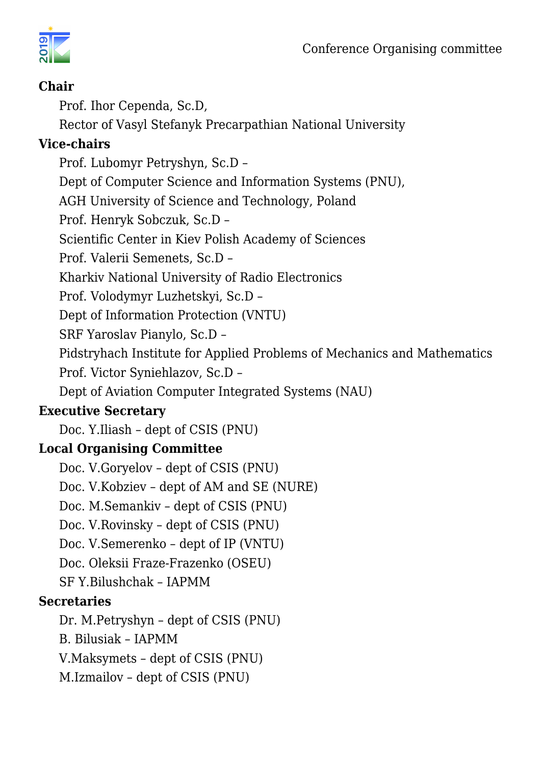

## **Chair**

Prof. Ihor Cependa, Sc.D,

Rector of Vasyl Stefanyk Precarpathian National University

## **Vice-chairs**

Prof. Lubomyr Petryshyn, Sc.D – Dept of Computer Science and Information Systems (PNU), AGH University of Science and Technology, Poland Prof. Henryk Sobczuk, Sc.D – Scientific Center in Kiev Polish Academy of Sciences Prof. Valerii Semenets, Sc.D – Kharkiv National University of Radio Electronics Prof. Volodymyr Luzhetskyi, Sc.D – Dept of Information Protection (VNTU) SRF Yaroslav Pianylo, Sc.D – Pidstryhach Institute for Applied Problems of Mechanics and Mathematics Prof. Victor Syniehlazov, Sc.D – Dept of Aviation Computer Integrated Systems (NAU) **Executive Secretary**

Doc. Y.Iliash – dept of CSIS (PNU)

# **Local Organising Committee**

Doc. V.Goryelov – dept of CSIS (PNU)

Doc. V.Kobziev – dept of AM and SE (NURE)

Doc. М.Semankiv – dept of CSIS (PNU)

Doc. V.Rovinsky – dept of CSIS (PNU)

Doc. V.Semerenko – dept of IP (VNTU)

Doc. Oleksii Fraze-Frazenko (OSEU)

SF Y.Bilushchak – IAPMM

# **Secretaries**

Dr. M.Petryshyn – dept of CSIS (PNU)

B. Bilusiak – IAPMM

V.Maksymets – dept of CSIS (PNU)

M.Izmailov – dept of CSIS (PNU)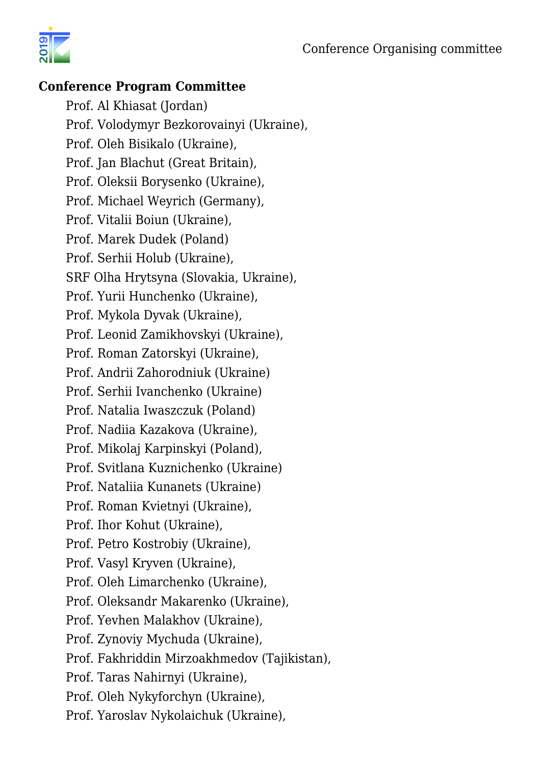

## **Conference Program Committee**

Prof. Al Khiasat (Jordan) Prof. Volodymyr Bezkorovainyi (Ukraine), Prof. Oleh Bisikalo (Ukraine), Prof. Jan Blachut (Great Britain), Prof. Oleksii Borysenko (Ukraine), Prof. Michael Weyrich (Germany), Prof. Vitalii Boiun (Ukraine), Prof. Marek Dudek (Poland) Prof. Serhii Holub (Ukraine), SRF Olha Hrytsyna (Slovakia, Ukraine), Prof. Yurii Hunchenko (Ukraine), Prof. Mykola Dyvak (Ukraine), Prof. Leonid Zamikhovskyi (Ukraine), Prof. Roman Zatorskyi (Ukraine), Prof. Andrii Zahorodniuk (Ukraine) Prof. Serhii Ivanchenko (Ukraine) Prof. Natalia Iwaszczuk (Poland) Prof. Nadiia Kazakova (Ukraine), Prof. Mikolaj Karpinskyi (Poland), Prof. Svitlana Kuznichenko (Ukraine) Prof. Nataliia Kunanets (Ukraine) Prof. Roman Kvietnyi (Ukraine), Prof. Ihor Kohut (Ukraine), Prof. Petro Kostrobiy (Ukraine), Prof. Vasyl Kryven (Ukraine), Prof. Oleh Limarchenko (Ukraine), Prof. Oleksandr Makarenko (Ukraine), Prof. Yevhen Malakhov (Ukraine), Prof. Zynoviy Mychuda (Ukraine), Prof. Fakhriddin Mirzoakhmedov (Tajikistan), Prof. Taras Nahirnyi (Ukraine), Prof. Oleh Nykyforchyn (Ukraine), Prof. Yaroslav Nykolaichuk (Ukraine),